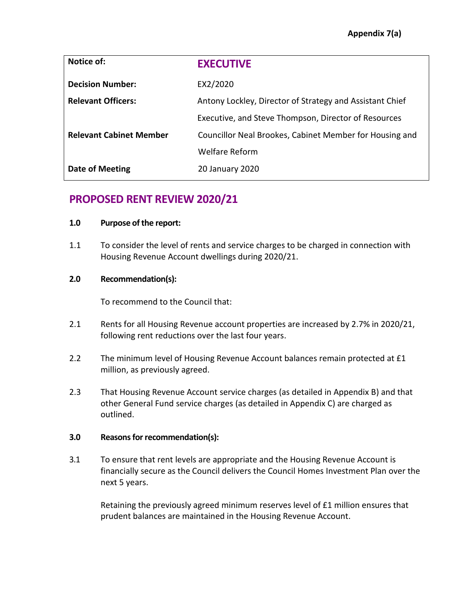| Notice of:                     | <b>EXECUTIVE</b>                                         |
|--------------------------------|----------------------------------------------------------|
| <b>Decision Number:</b>        | EX2/2020                                                 |
| <b>Relevant Officers:</b>      | Antony Lockley, Director of Strategy and Assistant Chief |
|                                | Executive, and Steve Thompson, Director of Resources     |
| <b>Relevant Cabinet Member</b> | Councillor Neal Brookes, Cabinet Member for Housing and  |
|                                | <b>Welfare Reform</b>                                    |
| <b>Date of Meeting</b>         | 20 January 2020                                          |

# **PROPOSED RENT REVIEW 2020/21**

## **1.0 Purpose of the report:**

1.1 To consider the level of rents and service charges to be charged in connection with Housing Revenue Account dwellings during 2020/21.

## **2.0 Recommendation(s):**

To recommend to the Council that:

- 2.1 Rents for all Housing Revenue account properties are increased by 2.7% in 2020/21, following rent reductions over the last four years.
- 2.2 The minimum level of Housing Revenue Account balances remain protected at £1 million, as previously agreed.
- 2.3 That Housing Revenue Account service charges (as detailed in Appendix B) and that other General Fund service charges (as detailed in Appendix C) are charged as outlined.

## **3.0 Reasons forrecommendation(s):**

3.1 To ensure that rent levels are appropriate and the Housing Revenue Account is financially secure as the Council delivers the Council Homes Investment Plan over the next 5 years.

Retaining the previously agreed minimum reserves level of £1 million ensures that prudent balances are maintained in the Housing Revenue Account.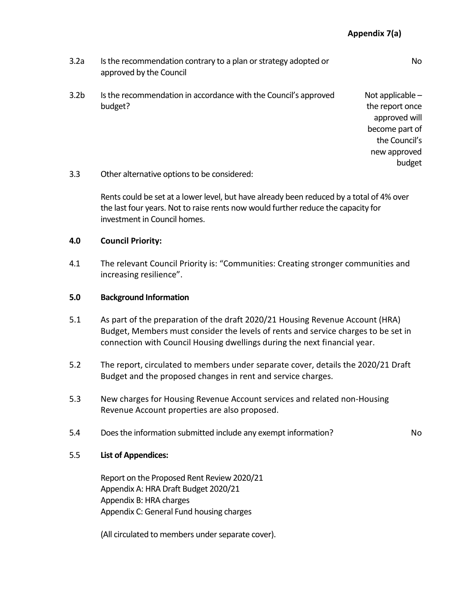| 3.2a | Is the recommendation contrary to a plan or strategy adopted or |
|------|-----------------------------------------------------------------|
|      | approved by the Council                                         |

3.2b Is the recommendation in accordance with the Council's approved budget?

Not applicable – the report once approved will become part of the Council's new approved budget

No

3.3 Other alternative options to be considered:

Rents could be set at a lower level, but have already been reduced by a total of 4% over the last four years. Not to raise rents now would further reduce the capacity for investment in Council homes.

#### **4.0 Council Priority:**

4.1 The relevant Council Priority is: "Communities: Creating stronger communities and increasing resilience".

#### **5.0 Background Information**

- 5.1 As part of the preparation of the draft 2020/21 Housing Revenue Account (HRA) Budget, Members must consider the levels of rents and service charges to be set in connection with Council Housing dwellings during the next financial year.
- 5.2 The report, circulated to members under separate cover, details the 2020/21 Draft Budget and the proposed changes in rent and service charges.
- 5.3 New charges for Housing Revenue Account services and related non-Housing Revenue Account properties are also proposed.
- 5.4 Does the information submitted include any exempt information? No

#### 5.5 **List of Appendices:**

Report on the Proposed Rent Review 2020/21 Appendix A: HRA Draft Budget 2020/21 Appendix B: HRA charges Appendix C: General Fund housing charges

(All circulated to members under separate cover).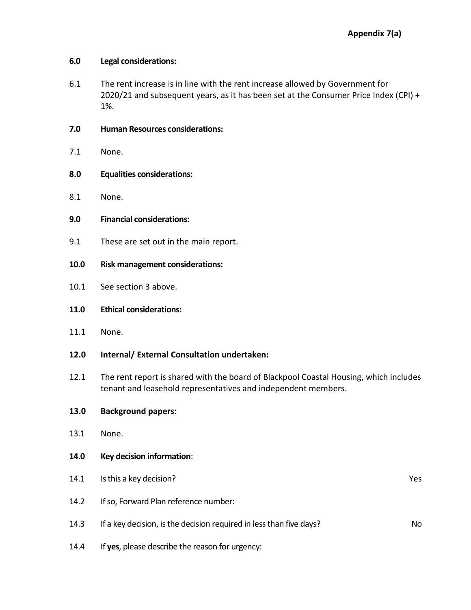## **6.0 Legal considerations:**

- 6.1 The rent increase is in line with the rent increase allowed by Government for 2020/21 and subsequent years, as it has been set at the Consumer Price Index (CPI) + 1%.
- **7.0 Human Resources considerations:**
- 7.1 None.
- **8.0 Equalities considerations:**
- 8.1 None.
- **9.0 Financial considerations:**
- 9.1 These are set out in the main report.
- **10.0 Risk management considerations:**
- 10.1 See section 3 above.
- **11.0 Ethical considerations:**
- 11.1 None.
- **12.0 Internal/ External Consultation undertaken:**
- 12.1 The rent report is shared with the board of Blackpool Coastal Housing, which includes tenant and leasehold representatives and independent members.

## **13.0 Background papers:**

- 13.1 None.
- **14.0 Key decision information**:
- 14.1 Is this a key decision? The set of the set of the set of the set of the set of the set of the set of the set of the set of the set of the set of the set of the set of the set of the set of the set of the set of the se 14.2 If so, Forward Plan reference number: 14.3 If a key decision, is the decision required in less than five days? 14.4 If **yes**, please describe the reason for urgency: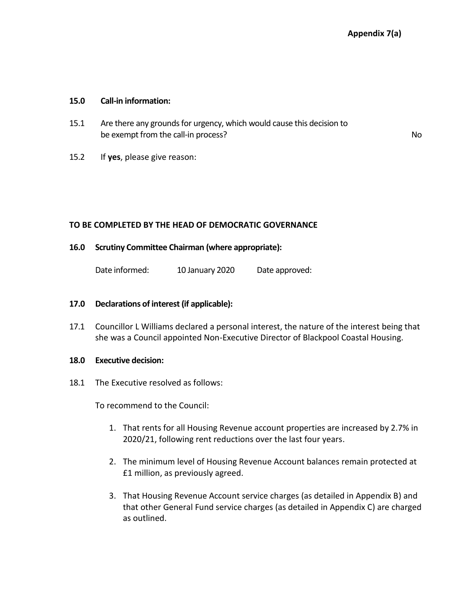#### **15.0 Call-in information:**

- 15.1 Are there any grounds for urgency, which would cause this decision to be exempt from the call-in process? No was a set of the call-in process?
- 15.2 If **yes**, please give reason:

#### **TO BE COMPLETED BY THE HEAD OF DEMOCRATIC GOVERNANCE**

#### **16.0 Scrutiny Committee Chairman (where appropriate):**

Date informed: 10 January 2020 Date approved:

#### **17.0 Declarations of interest (if applicable):**

17.1 Councillor L Williams declared a personal interest, the nature of the interest being that she was a Council appointed Non-Executive Director of Blackpool Coastal Housing.

#### **18.0 Executive decision:**

18.1 The Executive resolved as follows:

To recommend to the Council:

- 1. That rents for all Housing Revenue account properties are increased by 2.7% in 2020/21, following rent reductions over the last four years.
- 2. The minimum level of Housing Revenue Account balances remain protected at £1 million, as previously agreed.
- 3. That Housing Revenue Account service charges (as detailed in Appendix B) and that other General Fund service charges (as detailed in Appendix C) are charged as outlined.